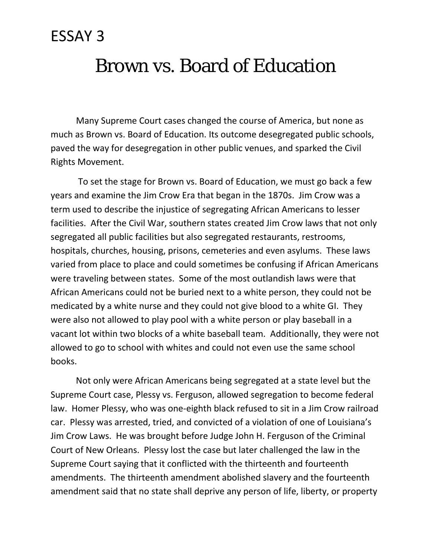## Brown vs. Board of Education

Many Supreme Court cases changed the course of America, but none as much as Brown vs. Board of Education. Its outcome desegregated public schools, paved the way for desegregation in other public venues, and sparked the Civil Rights Movement.

To set the stage for Brown vs. Board of Education, we must go back a few years and examine the Jim Crow Era that began in the 1870s. Jim Crow was a term used to describe the injustice of segregating African Americans to lesser facilities. After the Civil War, southern states created Jim Crow laws that not only segregated all public facilities but also segregated restaurants, restrooms, hospitals, churches, housing, prisons, cemeteries and even asylums. These laws varied from place to place and could sometimes be confusing if African Americans were traveling between states. Some of the most outlandish laws were that African Americans could not be buried next to a white person, they could not be medicated by a white nurse and they could not give blood to a white GI. They were also not allowed to play pool with a white person or play baseball in a vacant lot within two blocks of a white baseball team. Additionally, they were not allowed to go to school with whites and could not even use the same school books.

Not only were African Americans being segregated at a state level but the Supreme Court case, Plessy vs. Ferguson, allowed segregation to become federal law. Homer Plessy, who was one-eighth black refused to sit in a Jim Crow railroad car. Plessy was arrested, tried, and convicted of a violation of one of Louisiana's Jim Crow Laws. He was brought before Judge John H. Ferguson of the Criminal Court of New Orleans. Plessy lost the case but later challenged the law in the Supreme Court saying that it conflicted with the thirteenth and fourteenth amendments. The thirteenth amendment abolished slavery and the fourteenth amendment said that no state shall deprive any person of life, liberty, or property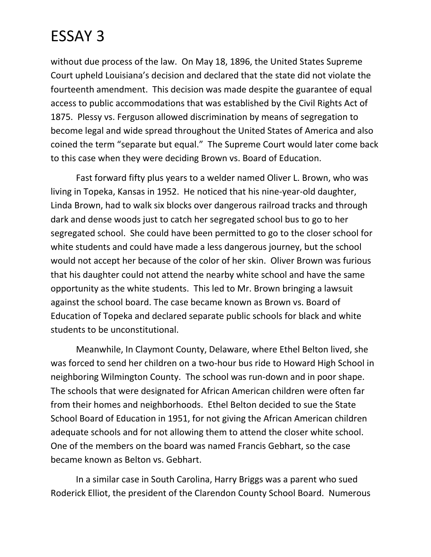without due process of the law. On May 18, 1896, the United States Supreme Court upheld Louisiana's decision and declared that the state did not violate the fourteenth amendment. This decision was made despite the guarantee of equal access to public accommodations that was established by the Civil Rights Act of 1875. Plessy vs. Ferguson allowed discrimination by means of segregation to become legal and wide spread throughout the United States of America and also coined the term "separate but equal." The Supreme Court would later come back to this case when they were deciding Brown vs. Board of Education.

Fast forward fifty plus years to a welder named Oliver L. Brown, who was living in Topeka, Kansas in 1952. He noticed that his nine-year-old daughter, Linda Brown, had to walk six blocks over dangerous railroad tracks and through dark and dense woods just to catch her segregated school bus to go to her segregated school. She could have been permitted to go to the closer school for white students and could have made a less dangerous journey, but the school would not accept her because of the color of her skin. Oliver Brown was furious that his daughter could not attend the nearby white school and have the same opportunity as the white students. This led to Mr. Brown bringing a lawsuit against the school board. The case became known as Brown vs. Board of Education of Topeka and declared separate public schools for black and white students to be unconstitutional.

Meanwhile, In Claymont County, Delaware, where Ethel Belton lived, she was forced to send her children on a two-hour bus ride to Howard High School in neighboring Wilmington County. The school was run-down and in poor shape. The schools that were designated for African American children were often far from their homes and neighborhoods. Ethel Belton decided to sue the State School Board of Education in 1951, for not giving the African American children adequate schools and for not allowing them to attend the closer white school. One of the members on the board was named Francis Gebhart, so the case became known as Belton vs. Gebhart.

In a similar case in South Carolina, Harry Briggs was a parent who sued Roderick Elliot, the president of the Clarendon County School Board. Numerous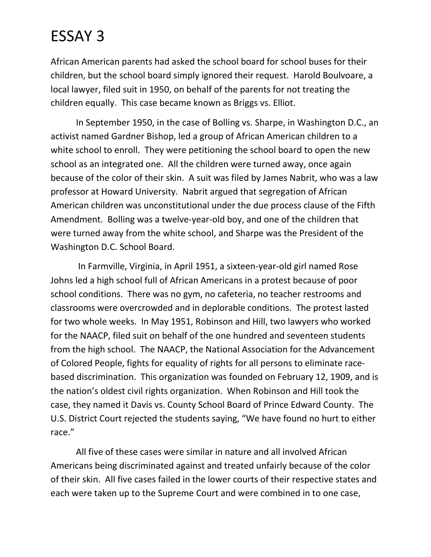African American parents had asked the school board for school buses for their children, but the school board simply ignored their request. Harold Boulvoare, a local lawyer, filed suit in 1950, on behalf of the parents for not treating the children equally. This case became known as Briggs vs. Elliot.

In September 1950, in the case of Bolling vs. Sharpe, in Washington D.C., an activist named Gardner Bishop, led a group of African American children to a white school to enroll. They were petitioning the school board to open the new school as an integrated one. All the children were turned away, once again because of the color of their skin. A suit was filed by James Nabrit, who was a law professor at Howard University. Nabrit argued that segregation of African American children was unconstitutional under the due process clause of the Fifth Amendment. Bolling was a twelve-year-old boy, and one of the children that were turned away from the white school, and Sharpe was the President of the Washington D.C. School Board.

In Farmville, Virginia, in April 1951, a sixteen-year-old girl named Rose Johns led a high school full of African Americans in a protest because of poor school conditions. There was no gym, no cafeteria, no teacher restrooms and classrooms were overcrowded and in deplorable conditions. The protest lasted for two whole weeks. In May 1951, Robinson and Hill, two lawyers who worked for the NAACP, filed suit on behalf of the one hundred and seventeen students from the high school. The NAACP, the National Association for the Advancement of Colored People, fights for equality of rights for all persons to eliminate racebased discrimination. This organization was founded on February 12, 1909, and is the nation's oldest civil rights organization. When Robinson and Hill took the case, they named it Davis vs. County School Board of Prince Edward County. The U.S. District Court rejected the students saying, "We have found no hurt to either race."

All five of these cases were similar in nature and all involved African Americans being discriminated against and treated unfairly because of the color of their skin. All five cases failed in the lower courts of their respective states and each were taken up to the Supreme Court and were combined in to one case,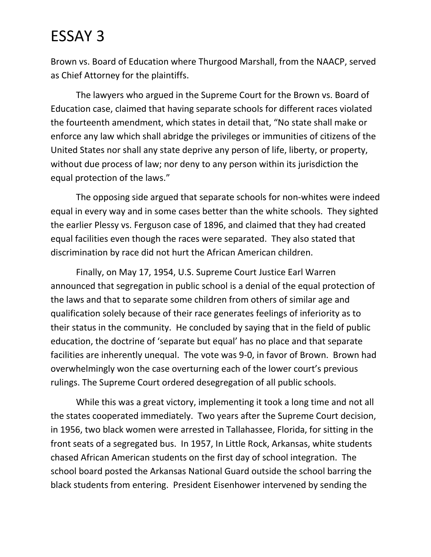Brown vs. Board of Education where Thurgood Marshall, from the NAACP, served as Chief Attorney for the plaintiffs.

The lawyers who argued in the Supreme Court for the Brown vs. Board of Education case, claimed that having separate schools for different races violated the fourteenth amendment, which states in detail that, "No state shall make or enforce any law which shall abridge the privileges or immunities of citizens of the United States nor shall any state deprive any person of life, liberty, or property, without due process of law; nor deny to any person within its jurisdiction the equal protection of the laws."

The opposing side argued that separate schools for non-whites were indeed equal in every way and in some cases better than the white schools. They sighted the earlier Plessy vs. Ferguson case of 1896, and claimed that they had created equal facilities even though the races were separated. They also stated that discrimination by race did not hurt the African American children.

Finally, on May 17, 1954, U.S. Supreme Court Justice Earl Warren announced that segregation in public school is a denial of the equal protection of the laws and that to separate some children from others of similar age and qualification solely because of their race generates feelings of inferiority as to their status in the community. He concluded by saying that in the field of public education, the doctrine of 'separate but equal' has no place and that separate facilities are inherently unequal. The vote was 9-0, in favor of Brown. Brown had overwhelmingly won the case overturning each of the lower court's previous rulings. The Supreme Court ordered desegregation of all public schools.

While this was a great victory, implementing it took a long time and not all the states cooperated immediately. Two years after the Supreme Court decision, in 1956, two black women were arrested in Tallahassee, Florida, for sitting in the front seats of a segregated bus. In 1957, In Little Rock, Arkansas, white students chased African American students on the first day of school integration. The school board posted the Arkansas National Guard outside the school barring the black students from entering. President Eisenhower intervened by sending the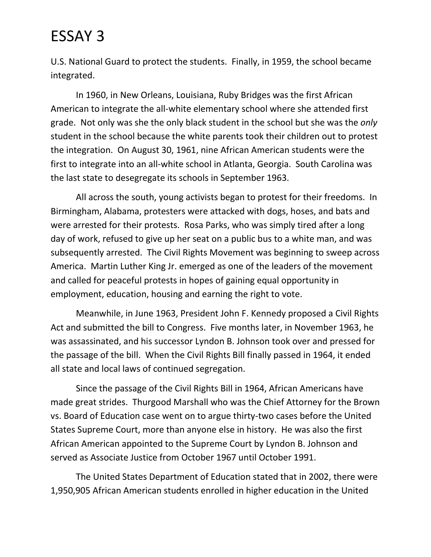U.S. National Guard to protect the students. Finally, in 1959, the school became integrated.

In 1960, in New Orleans, Louisiana, Ruby Bridges was the first African American to integrate the all-white elementary school where she attended first grade. Not only was she the only black student in the school but she was the *only* student in the school because the white parents took their children out to protest the integration. On August 30, 1961, nine African American students were the first to integrate into an all-white school in Atlanta, Georgia. South Carolina was the last state to desegregate its schools in September 1963.

All across the south, young activists began to protest for their freedoms. In Birmingham, Alabama, protesters were attacked with dogs, hoses, and bats and were arrested for their protests. Rosa Parks, who was simply tired after a long day of work, refused to give up her seat on a public bus to a white man, and was subsequently arrested. The Civil Rights Movement was beginning to sweep across America. Martin Luther King Jr. emerged as one of the leaders of the movement and called for peaceful protests in hopes of gaining equal opportunity in employment, education, housing and earning the right to vote.

Meanwhile, in June 1963, President John F. Kennedy proposed a Civil Rights Act and submitted the bill to Congress. Five months later, in November 1963, he was assassinated, and his successor Lyndon B. Johnson took over and pressed for the passage of the bill. When the Civil Rights Bill finally passed in 1964, it ended all state and local laws of continued segregation.

Since the passage of the Civil Rights Bill in 1964, African Americans have made great strides. Thurgood Marshall who was the Chief Attorney for the Brown vs. Board of Education case went on to argue thirty-two cases before the United States Supreme Court, more than anyone else in history. He was also the first African American appointed to the Supreme Court by Lyndon B. Johnson and served as Associate Justice from October 1967 until October 1991.

The United States Department of Education stated that in 2002, there were 1,950,905 African American students enrolled in higher education in the United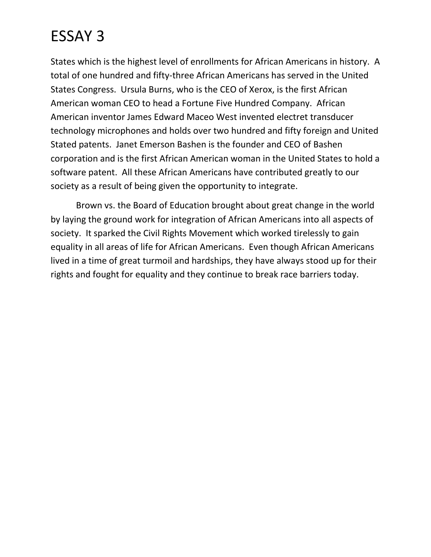States which is the highest level of enrollments for African Americans in history. A total of one hundred and fifty-three African Americans has served in the United States Congress. Ursula Burns, who is the CEO of Xerox, is the first African American woman CEO to head a Fortune Five Hundred Company. African American inventor James Edward Maceo West invented electret transducer technology microphones and holds over two hundred and fifty foreign and United Stated patents. Janet Emerson Bashen is the founder and CEO of Bashen corporation and is the first African American woman in the United States to hold a software patent. All these African Americans have contributed greatly to our society as a result of being given the opportunity to integrate.

Brown vs. the Board of Education brought about great change in the world by laying the ground work for integration of African Americans into all aspects of society. It sparked the Civil Rights Movement which worked tirelessly to gain equality in all areas of life for African Americans. Even though African Americans lived in a time of great turmoil and hardships, they have always stood up for their rights and fought for equality and they continue to break race barriers today.